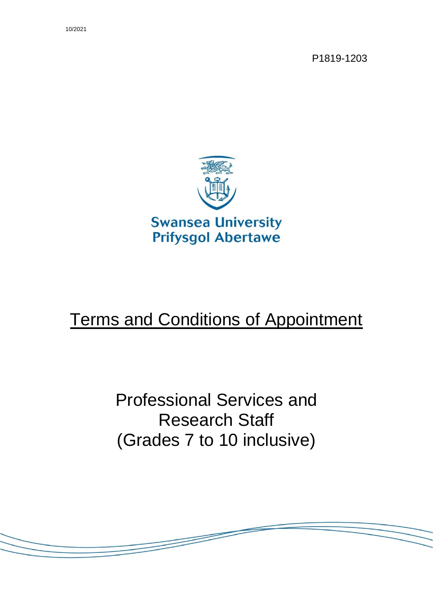10/2021

P1819-1203



# Terms and Conditions of Appointment

Professional Services and Research Staff (Grades 7 to 10 inclusive)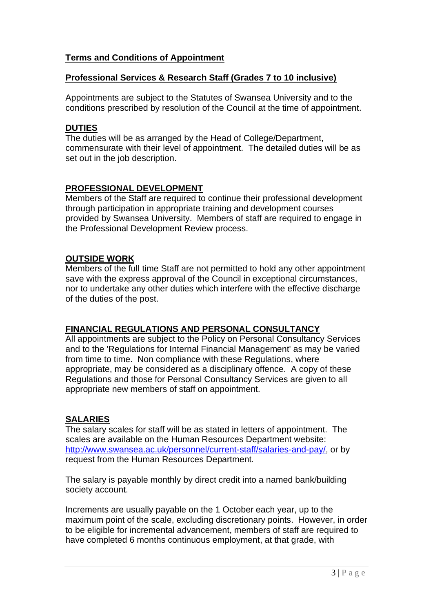### **Terms and Conditions of Appointment**

#### **Professional Services & Research Staff (Grades 7 to 10 inclusive)**

Appointments are subject to the Statutes of Swansea University and to the conditions prescribed by resolution of the Council at the time of appointment.

#### **DUTIES**

The duties will be as arranged by the Head of College/Department, commensurate with their level of appointment. The detailed duties will be as set out in the job description.

## **PROFESSIONAL DEVELOPMENT**

Members of the Staff are required to continue their professional development through participation in appropriate training and development courses provided by Swansea University. Members of staff are required to engage in the Professional Development Review process.

#### **OUTSIDE WORK**

Members of the full time Staff are not permitted to hold any other appointment save with the express approval of the Council in exceptional circumstances, nor to undertake any other duties which interfere with the effective discharge of the duties of the post.

# **FINANCIAL REGULATIONS AND PERSONAL CONSULTANCY**

All appointments are subject to the Policy on Personal Consultancy Services and to the 'Regulations for Internal Financial Management' as may be varied from time to time. Non compliance with these Regulations, where appropriate, may be considered as a disciplinary offence. A copy of these Regulations and those for Personal Consultancy Services are given to all appropriate new members of staff on appointment.

#### **SALARIES**

The salary scales for staff will be as stated in letters of appointment. The scales are available on the Human Resources Department website: [http://www.swansea.ac.uk/personnel/current-staff/salaries-and-pay/,](http://www.swansea.ac.uk/personnel/current-staff/salaries-and-pay/) or by request from the Human Resources Department.

The salary is payable monthly by direct credit into a named bank/building society account.

Increments are usually payable on the 1 October each year, up to the maximum point of the scale, excluding discretionary points. However, in order to be eligible for incremental advancement, members of staff are required to have completed 6 months continuous employment, at that grade, with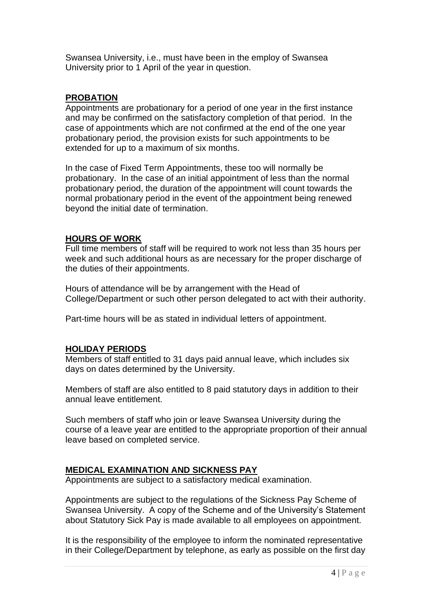Swansea University, i.e., must have been in the employ of Swansea University prior to 1 April of the year in question.

#### **PROBATION**

Appointments are probationary for a period of one year in the first instance and may be confirmed on the satisfactory completion of that period. In the case of appointments which are not confirmed at the end of the one year probationary period, the provision exists for such appointments to be extended for up to a maximum of six months.

In the case of Fixed Term Appointments, these too will normally be probationary. In the case of an initial appointment of less than the normal probationary period, the duration of the appointment will count towards the normal probationary period in the event of the appointment being renewed beyond the initial date of termination.

## **HOURS OF WORK**

Full time members of staff will be required to work not less than 35 hours per week and such additional hours as are necessary for the proper discharge of the duties of their appointments.

Hours of attendance will be by arrangement with the Head of College/Department or such other person delegated to act with their authority.

Part-time hours will be as stated in individual letters of appointment.

# **HOLIDAY PERIODS**

Members of staff entitled to 31 days paid annual leave, which includes six days on dates determined by the University.

Members of staff are also entitled to 8 paid statutory days in addition to their annual leave entitlement.

Such members of staff who join or leave Swansea University during the course of a leave year are entitled to the appropriate proportion of their annual leave based on completed service.

# **MEDICAL EXAMINATION AND SICKNESS PAY**

Appointments are subject to a satisfactory medical examination.

Appointments are subject to the regulations of the Sickness Pay Scheme of Swansea University. A copy of the Scheme and of the University's Statement about Statutory Sick Pay is made available to all employees on appointment.

It is the responsibility of the employee to inform the nominated representative in their College/Department by telephone, as early as possible on the first day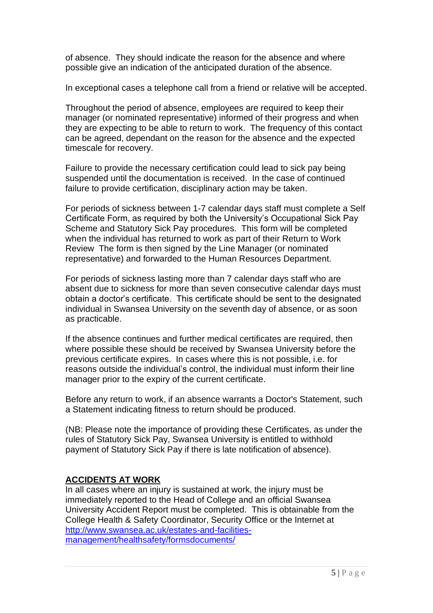of absence. They should indicate the reason for the absence and where possible give an indication of the anticipated duration of the absence.

In exceptional cases a telephone call from a friend or relative will be accepted.

Throughout the period of absence, employees are required to keep their manager (or nominated representative) informed of their progress and when they are expecting to be able to return to work. The frequency of this contact can be agreed, dependant on the reason for the absence and the expected timescale for recovery.

Failure to provide the necessary certification could lead to sick pay being suspended until the documentation is received. In the case of continued failure to provide certification, disciplinary action may be taken.

For periods of sickness between 1-7 calendar days staff must complete a Self Certificate Form, as required by both the University's Occupational Sick Pay Scheme and Statutory Sick Pay procedures. This form will be completed when the individual has returned to work as part of their Return to Work Review The form is then signed by the Line Manager (or nominated representative) and forwarded to the Human Resources Department.

For periods of sickness lasting more than 7 calendar days staff who are absent due to sickness for more than seven consecutive calendar days must obtain a doctor's certificate. This certificate should be sent to the designated individual in Swansea University on the seventh day of absence, or as soon as practicable.

If the absence continues and further medical certificates are required, then where possible these should be received by Swansea University before the previous certificate expires. In cases where this is not possible, i.e. for reasons outside the individual's control, the individual must inform their line manager prior to the expiry of the current certificate.

Before any return to work, if an absence warrants a Doctor's Statement, such a Statement indicating fitness to return should be produced.

(NB: Please note the importance of providing these Certificates, as under the rules of Statutory Sick Pay, Swansea University is entitled to withhold payment of Statutory Sick Pay if there is late notification of absence).

# **ACCIDENTS AT WORK**

In all cases where an injury is sustained at work, the injury must be immediately reported to the Head of College and an official Swansea University Accident Report must be completed. This is obtainable from the College Health & Safety Coordinator, Security Office or the Internet at [http://www.swansea.ac.uk/estates-and-facilities](http://www.swansea.ac.uk/estates-and-facilities-management/healthsafety/formsdocuments/)[management/healthsafety/formsdocuments/](http://www.swansea.ac.uk/estates-and-facilities-management/healthsafety/formsdocuments/)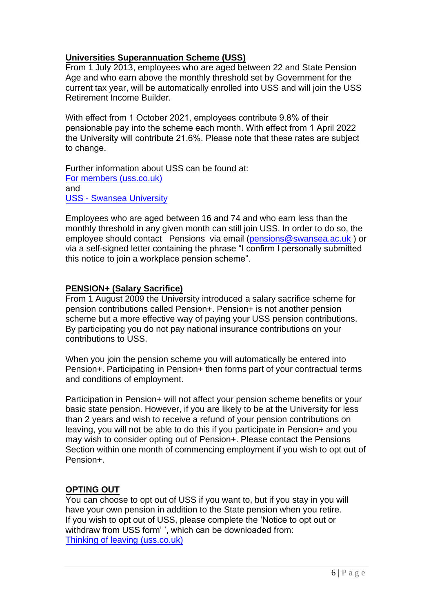## **Universities Superannuation Scheme (USS)**

From 1 July 2013, employees who are aged between 22 and State Pension Age and who earn above the monthly threshold set by Government for the current tax year, will be automatically enrolled into USS and will join the USS Retirement Income Builder.

With effect from 1 October 2021, employees contribute 9.8% of their pensionable pay into the scheme each month. With effect from 1 April 2022 the University will contribute 21.6%. Please note that these rates are subject to change.

[Further information about](https://www.uss.co.uk/for-members) USS can be found at: For members (uss.co.uk) [and](https://staff.swansea.ac.uk/professional-services/finance-swansea-university/pensions/pensions-uss/)  USS - Swansea University

Employees who are aged between 16 and 74 and who earn less than the monthly threshold in any given month can still join USS. In order to do so, the employee should contact Pensions via email [\(pensions@swansea.ac.uk](mailto:pensions@swansea.ac.uk)) or via a self-signed letter containing the phrase "I confirm I personally submitted this notice to join a workplace pension scheme".

## **PENSION+ (Salary Sacrifice)**

From 1 August 2009 the University introduced a salary sacrifice scheme for pension contributions called Pension+. Pension+ is not another pension scheme but a more effective way of paying your USS pension contributions. By participating you do not pay national insurance contributions on your contributions to USS.

When you join the pension scheme you will automatically be entered into Pension+. Participating in Pension+ then forms part of your contractual terms and conditions of employment.

Participation in Pension+ will not affect your pension scheme benefits or your basic state pension. However, if you are likely to be at the University for less than 2 years and wish to receive a refund of your pension contributions on leaving, you will not be able to do this if you participate in Pension+ and you may wish to consider opting out of Pension+. Please contact the Pensions Section within one month of commencing employment if you wish to opt out of Pension+.

#### **OPTING OUT**

You can choose to opt out of USS if you want to, but if you stay in you will have your own pension in addition to the State pension when you retire. If you wish to opt out of USS, please complete the 'Notice to opt out or [withdraw from USS form'](https://www.uss.co.uk/for-members/leaving-or-already-left/thinking-of-leaving) ', which can be downloaded from: Thinking of leaving (uss.co.uk)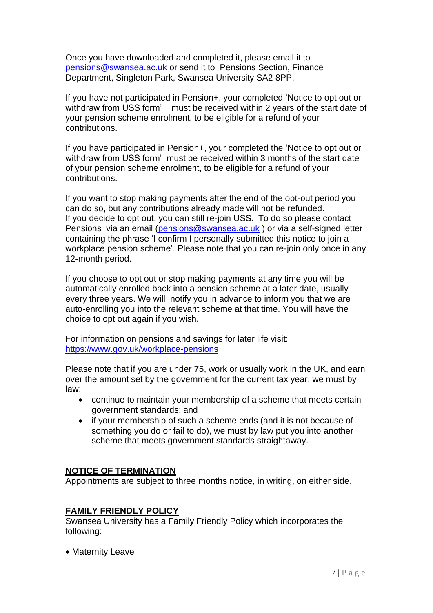Once you have downloaded and completed it, please email it to [pensions@swansea.ac.uk](mailto:pensions@swansea.ac.uk) or send it to Pensions Section, Finance Department, Singleton Park, Swansea University SA2 8PP.

If you have not participated in Pension+, your completed 'Notice to opt out or withdraw from USS form' must be received within 2 years of the start date of your pension scheme enrolment, to be eligible for a refund of your contributions.

If you have participated in Pension+, your completed the 'Notice to opt out or withdraw from USS form' must be received within 3 months of the start date of your pension scheme enrolment, to be eligible for a refund of your contributions.

If you want to stop making payments after the end of the opt-out period you can do so, but any contributions already made will not be refunded. If you decide to opt out, you can still re-join USS. To do so please contact Pensions via an email [\(pensions@swansea.ac.uk](mailto:pensions@swansea.ac.uk) ) or via a self-signed letter containing the phrase 'I confirm I personally submitted this notice to join a workplace pension scheme'. Please note that you can re-join only once in any 12-month period.

If you choose to opt out or stop making payments at any time you will be automatically enrolled back into a pension scheme at a later date, usually every three years. We will notify you in advance to inform you that we are auto-enrolling you into the relevant scheme at that time. You will have the choice to opt out again if you wish.

For information on pensions and savings for later life visit: <https://www.gov.uk/workplace-pensions>

Please note that if you are under 75, work or usually work in the UK, and earn over the amount set by the government for the current tax year, we must by law:

- continue to maintain your membership of a scheme that meets certain government standards; and
- if your membership of such a scheme ends (and it is not because of something you do or fail to do), we must by law put you into another scheme that meets government standards straightaway.

#### **NOTICE OF TERMINATION**

Appointments are subject to three months notice, in writing, on either side.

#### **FAMILY FRIENDLY POLICY**

Swansea University has a Family Friendly Policy which incorporates the following:

• Maternity Leave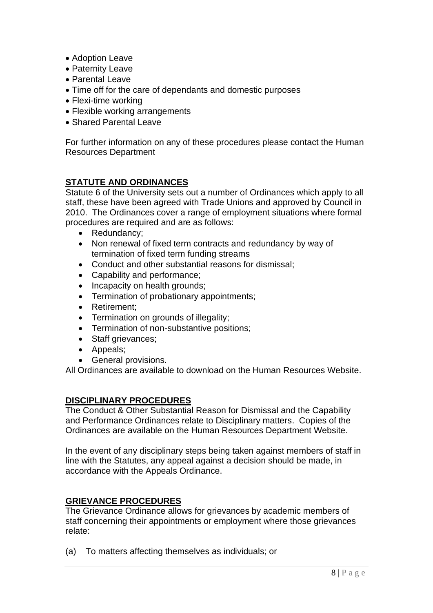- Adoption Leave
- Paternity Leave
- Parental Leave
- Time off for the care of dependants and domestic purposes
- Flexi-time working
- Flexible working arrangements
- Shared Parental Leave

For further information on any of these procedures please contact the Human Resources Department

# **STATUTE AND ORDINANCES**

Statute 6 of the University sets out a number of Ordinances which apply to all staff, these have been agreed with Trade Unions and approved by Council in 2010. The Ordinances cover a range of employment situations where formal procedures are required and are as follows:

- Redundancy;
- Non renewal of fixed term contracts and redundancy by way of termination of fixed term funding streams
- Conduct and other substantial reasons for dismissal;
- Capability and performance;
- Incapacity on health grounds;
- Termination of probationary appointments;
- Retirement;
- Termination on grounds of illegality;
- Termination of non-substantive positions;
- Staff grievances:
- Appeals;
- General provisions.

All Ordinances are available to download on the Human Resources Website.

# **DISCIPLINARY PROCEDURES**

The Conduct & Other Substantial Reason for Dismissal and the Capability and Performance Ordinances relate to Disciplinary matters. Copies of the Ordinances are available on the Human Resources Department Website.

In the event of any disciplinary steps being taken against members of staff in line with the Statutes, any appeal against a decision should be made, in accordance with the Appeals Ordinance.

# **GRIEVANCE PROCEDURES**

The Grievance Ordinance allows for grievances by academic members of staff concerning their appointments or employment where those grievances relate:

(a) To matters affecting themselves as individuals; or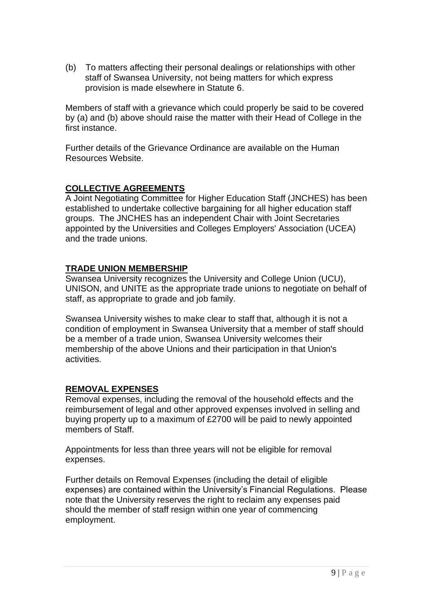(b) To matters affecting their personal dealings or relationships with other staff of Swansea University, not being matters for which express provision is made elsewhere in Statute 6.

Members of staff with a grievance which could properly be said to be covered by (a) and (b) above should raise the matter with their Head of College in the first instance.

Further details of the Grievance Ordinance are available on the Human Resources Website.

## **COLLECTIVE AGREEMENTS**

A Joint Negotiating Committee for Higher Education Staff (JNCHES) has been established to undertake collective bargaining for all higher education staff groups. The JNCHES has an independent Chair with Joint Secretaries appointed by the Universities and Colleges Employers' Association (UCEA) and the trade unions.

#### **TRADE UNION MEMBERSHIP**

Swansea University recognizes the University and College Union (UCU), UNISON, and UNITE as the appropriate trade unions to negotiate on behalf of staff, as appropriate to grade and job family.

Swansea University wishes to make clear to staff that, although it is not a condition of employment in Swansea University that a member of staff should be a member of a trade union, Swansea University welcomes their membership of the above Unions and their participation in that Union's activities.

# **REMOVAL EXPENSES**

Removal expenses, including the removal of the household effects and the reimbursement of legal and other approved expenses involved in selling and buying property up to a maximum of £2700 will be paid to newly appointed members of Staff.

Appointments for less than three years will not be eligible for removal expenses.

Further details on Removal Expenses (including the detail of eligible expenses) are contained within the University's Financial Regulations. Please note that the University reserves the right to reclaim any expenses paid should the member of staff resign within one year of commencing employment.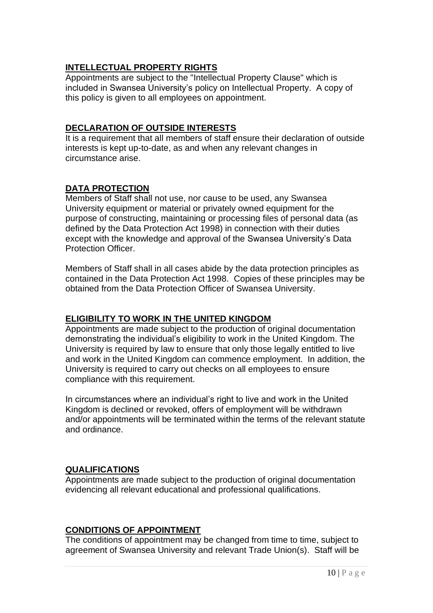## **INTELLECTUAL PROPERTY RIGHTS**

Appointments are subject to the "Intellectual Property Clause" which is included in Swansea University's policy on Intellectual Property. A copy of this policy is given to all employees on appointment.

#### **DECLARATION OF OUTSIDE INTERESTS**

It is a requirement that all members of staff ensure their declaration of outside interests is kept up-to-date, as and when any relevant changes in circumstance arise.

# **DATA PROTECTION**

Members of Staff shall not use, nor cause to be used, any Swansea University equipment or material or privately owned equipment for the purpose of constructing, maintaining or processing files of personal data (as defined by the Data Protection Act 1998) in connection with their duties except with the knowledge and approval of the Swansea University's Data Protection Officer.

Members of Staff shall in all cases abide by the data protection principles as contained in the Data Protection Act 1998. Copies of these principles may be obtained from the Data Protection Officer of Swansea University.

#### **ELIGIBILITY TO WORK IN THE UNITED KINGDOM**

Appointments are made subject to the production of original documentation demonstrating the individual's eligibility to work in the United Kingdom. The University is required by law to ensure that only those legally entitled to live and work in the United Kingdom can commence employment. In addition, the University is required to carry out checks on all employees to ensure compliance with this requirement.

In circumstances where an individual's right to live and work in the United Kingdom is declined or revoked, offers of employment will be withdrawn and/or appointments will be terminated within the terms of the relevant statute and ordinance.

# **QUALIFICATIONS**

Appointments are made subject to the production of original documentation evidencing all relevant educational and professional qualifications.

# **CONDITIONS OF APPOINTMENT**

The conditions of appointment may be changed from time to time, subject to agreement of Swansea University and relevant Trade Union(s). Staff will be